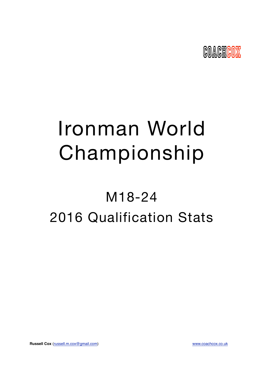

# Ironman World Championship

## M18-24 2016 Qualification Stats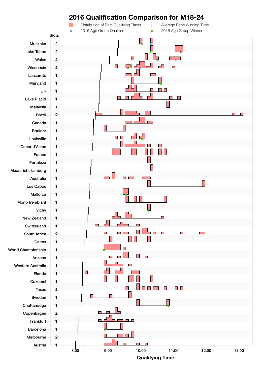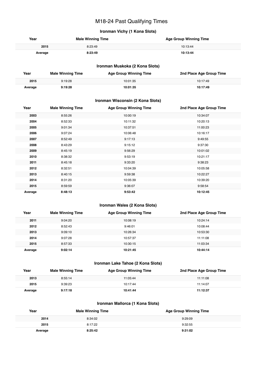## M18-24 Past Qualifying Times

## **Ironman Vichy (1 Kona Slots)**

| Year    | <b>Male Winning Time</b> | <b>Age Group Winning Time</b> |
|---------|--------------------------|-------------------------------|
| 2015    | 8:23:49                  | 10:13:44                      |
| Average | 8:23:49                  | 10:13:44                      |

## **Ironman Muskoka (2 Kona Slots)**

| Year    | <b>Male Winning Time</b> | <b>Age Group Winning Time</b> | 2nd Place Age Group Time |
|---------|--------------------------|-------------------------------|--------------------------|
| 2015    | 9:19:28                  | 10:01:35                      | 10:17:49                 |
| Average | 9:19:28                  | 10:01:35                      | 10:17:49                 |

## **Ironman Wisconsin (2 Kona Slots)**

| Year    | <b>Male Winning Time</b> | <b>Age Group Winning Time</b> | 2nd Place Age Group Time |
|---------|--------------------------|-------------------------------|--------------------------|
| 2003    | 8:55:26                  | 10:00:19                      | 10:34:07                 |
| 2004    | 8:52:33                  | 10:11:32                      | 10:20:13                 |
| 2005    | 9:01:34                  | 10:37:51                      | 11:00:23                 |
| 2006    | 9:07:24                  | 10:06:48                      | 10:16:17                 |
| 2007    | 8:52:49                  | 9:17:13                       | 9:49:55                  |
| 2008    | 8:43:29                  | 9:15:12                       | 9:37:30                  |
| 2009    | 8:45:19                  | 9:56:29                       | 10:01:02                 |
| 2010    | 8:38:32                  | 9:53:19                       | 10:21:17                 |
| 2011    | 8:45:18                  | 9:33:20                       | 9:38:23                  |
| 2012    | 8:32:51                  | 10:04:39                      | 10:05:58                 |
| 2013    | 8:40:15                  | 9:59:38                       | 10:22:27                 |
| 2014    | 8:31:20                  | 10:05:39                      | 10:39:20                 |
| 2015    | 8:59:59                  | 9:36:07                       | 9:58:54                  |
| Average | 8:48:13                  | 9:53:42                       | 10:12:45                 |

## **Ironman Wales (2 Kona Slots)**

| Year    | <b>Male Winning Time</b> | <b>Age Group Winning Time</b> | 2nd Place Age Group Time |
|---------|--------------------------|-------------------------------|--------------------------|
| 2011    | 9:04:20                  | 10:08:19                      | 10:24:14                 |
| 2012    | 8:52:43                  | 9:46:01                       | 10:08:44                 |
| 2013    | 9:09:10                  | 10:26:34                      | 10:53:30                 |
| 2014    | 9:07:28                  | 10:57:37                      | 11:11:08                 |
| 2015    | 8:57:33                  | 10:30:15                      | 11:03:34                 |
| Average | 9:02:14                  | 10:21:45                      | 10:44:14                 |

## **Ironman Lake Tahoe (2 Kona Slots)**

| Year    | <b>Male Winning Time</b> | <b>Age Group Winning Time</b> | 2nd Place Age Group Time |
|---------|--------------------------|-------------------------------|--------------------------|
| 2013    | 8:55:14                  | 11:05:44                      | 11:11:08                 |
| 2015    | 9:39:23                  | 10:17:44                      | 11:14:07                 |
| Average | 9:17:18                  | 10:41:44                      | 11:12:37                 |

## **Ironman Mallorca (1 Kona Slots)**

| Year    | <b>Male Winning Time</b> | <b>Age Group Winning Time</b> |
|---------|--------------------------|-------------------------------|
| 2014    | 8:34:02                  | 9:29:09                       |
| 2015    | 8:17:22                  | 9:32:55                       |
| Average | 8:25:42                  | 9:31:02                       |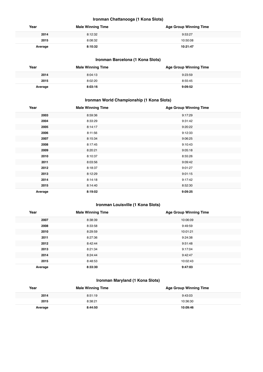## **Ironman Chattanooga (1 Kona Slots)**

| Year    | <b>Male Winning Time</b> | <b>Age Group Winning Time</b> |
|---------|--------------------------|-------------------------------|
| 2014    | 8:12:32                  | 9:53:27                       |
| 2015    | 8:08:32                  | 10:50:08                      |
| Average | 8:10:32                  | 10:21:47                      |

## **Ironman Barcelona (1 Kona Slots)**

| Year    | <b>Male Winning Time</b> | <b>Age Group Winning Time</b> |
|---------|--------------------------|-------------------------------|
| 2014    | 8:04:13                  | 9:23:59                       |
| 2015    | 8:02:20                  | 8:55:45                       |
| Average | 8:03:16                  | 9:09:52                       |

## **Ironman World Championship (1 Kona Slots)**

| Year    | <b>Male Winning Time</b> | <b>Age Group Winning Time</b> |
|---------|--------------------------|-------------------------------|
| 2003    | 8:59:36                  | 9:17:29                       |
| 2004    | 8:33:29                  | 9:31:42                       |
| 2005    | 8:14:17                  | 9:20:22                       |
| 2006    | 8:11:56                  | 9:12:33                       |
| 2007    | 8:15:34                  | 9:06:25                       |
| 2008    | 8:17:45                  | 9:10:43                       |
| 2009    | 8:20:21                  | 9:05:18                       |
| 2010    | 8:10:37                  | 8:55:26                       |
| 2011    | 8:03:56                  | 9:09:42                       |
| 2012    | 8:18:37                  | 9:01:27                       |
| 2013    | 8:12:29                  | 9:01:15                       |
| 2014    | 8:14:18                  | 9:17:42                       |
| 2015    | 8:14:40                  | 8:52:30                       |
| Average | 8:19:02                  | 9:09:25                       |

## **Ironman Louisville (1 Kona Slots)**

| Year    | <b>Male Winning Time</b> | <b>Age Group Winning Time</b> |
|---------|--------------------------|-------------------------------|
| 2007    | 8:38:39                  | 10:06:09                      |
| 2008    | 8:33:58                  | 9:49:59                       |
| 2010    | 8:29:59                  | 10:01:21                      |
| 2011    | 8:27:36                  | 9:24:38                       |
| 2012    | 8:42:44                  | 9:51:48                       |
| 2013    | 8:21:34                  | 9:17:04                       |
| 2014    | 8:24:44                  | 9:42:47                       |
| 2015    | 8:48:53                  | 10:02:43                      |
| Average | 8:33:30                  | 9:47:03                       |

## **Ironman Maryland (1 Kona Slots)**

| Year    | <b>Male Winning Time</b> | <b>Age Group Winning Time</b> |
|---------|--------------------------|-------------------------------|
| 2014    | 8:51:19                  | 9:43:03                       |
| 2015    | 8:38:21                  | 10:36:30                      |
| Average | 8:44:50                  | 10:09:46                      |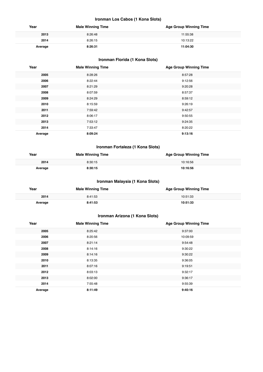## **Ironman Los Cabos (1 Kona Slots)**

| Year    | <b>Male Winning Time</b> | <b>Age Group Winning Time</b> |
|---------|--------------------------|-------------------------------|
| 2013    | 8:26:48                  | 11:55:38                      |
| 2014    | 8:26:15                  | 10:13:22                      |
| Average | 8:26:31                  | 11:04:30                      |

## **Ironman Florida (1 Kona Slots)**

| Year    | <b>Male Winning Time</b> | <b>Age Group Winning Time</b> |
|---------|--------------------------|-------------------------------|
| 2005    | 8:28:26                  | 8:57:28                       |
| 2006    | 8:22:44                  | 9:12:56                       |
| 2007    | 8:21:29                  | 9:20:28                       |
| 2008    | 8:07:59                  | 8:57:37                       |
| 2009    | 8:24:29                  | 8:59:12                       |
| 2010    | 8:15:59                  | 9:26:19                       |
| 2011    | 7:59:42                  | 9:42:57                       |
| 2012    | 8:06:17                  | 9:50:55                       |
| 2013    | 7:53:12                  | 9:24:35                       |
| 2014    | 7:33:47                  | 8:20:22                       |
| Average | 8:09:24                  | 9:13:16                       |

## **Ironman Fortaleza (1 Kona Slots)**

| Year    | <b>Male Winning Time</b> | <b>Age Group Winning Time</b> |
|---------|--------------------------|-------------------------------|
| 2014    | 8:30:15                  | 10:16:56                      |
| Average | 8:30:15                  | 10:16:56                      |

## **Ironman Malaysia (1 Kona Slots)**

| Year    | <b>Male Winning Time</b> | <b>Age Group Winning Time</b> |  |
|---------|--------------------------|-------------------------------|--|
| 2014    | 8:41:53                  | 10:51:33                      |  |
| Average | 8:41:53                  | 10:51:33                      |  |

## **Ironman Arizona (1 Kona Slots)**

| Year    | <b>Male Winning Time</b> | <b>Age Group Winning Time</b> |
|---------|--------------------------|-------------------------------|
| 2005    | 8:25:42                  | 9:37:00                       |
| 2006    | 8:20:56                  | 10:09:59                      |
| 2007    | 8:21:14                  | 9:54:48                       |
| 2008    | 8:14:16                  | 9:30:22                       |
| 2009    | 8:14:16                  | 9:30:22                       |
| 2010    | 8:13:35                  | 9:36:05                       |
| 2011    | 8:07:16                  | 9:19:51                       |
| 2012    | 8:03:13                  | 9:32:17                       |
| 2013    | 8:02:00                  | 9:36:17                       |
| 2014    | 7:55:48                  | 9:55:39                       |
| Average | 8:11:49                  | 9:40:16                       |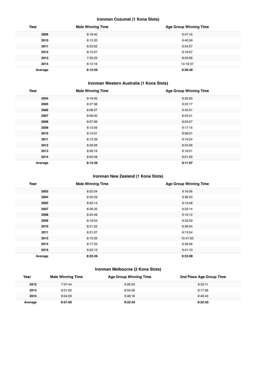## **Ironman Cozumel (1 Kona Slots)**

| Year    | <b>Male Winning Time</b> | <b>Age Group Winning Time</b> |
|---------|--------------------------|-------------------------------|
| 2009    | 8:18:40                  | 9:47:16                       |
| 2010    | 8:12:20                  | 9:40:59                       |
| 2011    | 8:23:52                  | 9:54:57                       |
| 2012    | 8:15:07                  | 9:16:07                       |
| 2013    | 7:55:23                  | 8:53:56                       |
| 2014    | 8:12:16                  | 10:19:37                      |
| Average | 8:12:56                  | 9:38:48                       |

## **Ironman Western Australia (1 Kona Slots)**

| Year    | <b>Male Winning Time</b> | <b>Age Group Winning Time</b> |
|---------|--------------------------|-------------------------------|
| 2004    | 8:16:00                  | 9:25:00                       |
| 2005    | 8:27:36                  | 9:22:17                       |
| 2006    | 8:08:57                  | 9:42:01                       |
| 2007    | 8:06:00                  | 8:55:31                       |
| 2008    | 8:07:06                  | 8:52:57                       |
| 2009    | 8:13:59                  | 9:17:15                       |
| 2010    | 8:14:01                  | 9:06:01                       |
| 2011    | 8:12:39                  | 9:10:24                       |
| 2012    | 8:29:06                  | 8:52:56                       |
| 2013    | 8:08:16                  | 9:16:01                       |
| 2014    | 8:05:58                  | 9:01:59                       |
| Average | 8:13:36                  | 9:11:07                       |

## **Ironman New Zealand (1 Kona Slots)**

| Year    | <b>Male Winning Time</b> | <b>Age Group Winning Time</b> |
|---------|--------------------------|-------------------------------|
| 2003    | 8:22:04                  | 9:16:06                       |
| 2004    | 8:30:29                  | 9:36:23                       |
| 2005    | 8:20:14                  | 9:13:48                       |
| 2007    | 8:26:33                  | 9:22:14                       |
| 2008    | 8:24:49                  | 9:10:12                       |
| 2009    | 8:18:04                  | 9:33:29                       |
| 2010    | 8:21:52                  | 9:39:54                       |
| 2011    | 8:31:07                  | 9:13:54                       |
| 2013    | 8:15:35                  | 10:41:00                      |
| 2014    | 8:17:33                  | 9:36:28                       |
| 2015    | 8:22:13                  | 9:41:10                       |
| Average | 8:22:46                  | 9:33:08                       |

## **Ironman Melbourne (2 Kona Slots)**

| Year    | <b>Male Winning Time</b> | <b>Age Group Winning Time</b> | 2nd Place Age Group Time |
|---------|--------------------------|-------------------------------|--------------------------|
| 2012    | 7:57:44                  | 9:26:03                       | 9:33:11                  |
| 2014    | 8:01:02                  | 8:55:56                       | 9:17:36                  |
| 2015    | 8:04:29                  | 9:46:18                       | 9:46:43                  |
| Average | 8:01:05                  | 9:22:45                       | 9:32:30                  |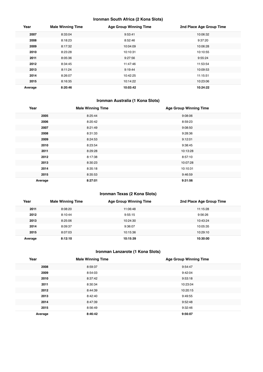## **Ironman South Africa (2 Kona Slots)**

| Year    | <b>Male Winning Time</b> | <b>Age Group Winning Time</b> | 2nd Place Age Group Time |
|---------|--------------------------|-------------------------------|--------------------------|
| 2007    | 8:33:04                  | 9:53:41                       | 10:06:32                 |
| 2008    | 8:18:23                  | 8:52:46                       | 9:37:20                  |
| 2009    | 8:17:32                  | 10:04:09                      | 10:06:28                 |
| 2010    | 8:23:28                  | 10:10:31                      | 10:10:55                 |
| 2011    | 8:05:36                  | 9:27:56                       | 9:55:24                  |
| 2012    | 8:34:45                  | 11:47:46                      | 11:53:54                 |
| 2013    | 8:11:24                  | 9:19:44                       | 10:09:53                 |
| 2014    | 8:26:07                  | 10:42:25                      | 11:15:51                 |
| 2015    | 8:16:35                  | 10:14:22                      | 10:23:06                 |
| Average | 8:20:46                  | 10:03:42                      | 10:24:22                 |

## **Ironman Australia (1 Kona Slots)**

| Year    | <b>Male Winning Time</b> | <b>Age Group Winning Time</b> |
|---------|--------------------------|-------------------------------|
| 2005    | 8:25:44                  | 9:08:06                       |
| 2006    | 8:20:42                  | 8:59:23                       |
| 2007    | 8:21:49                  | 9:08:50                       |
| 2008    | 8:31:33                  | 9:28:36                       |
| 2009    | 8:24:53                  | 9:12:01                       |
| 2010    | 8:23:54                  | 9:38:45                       |
| 2011    | 8:29:28                  | 10:13:28                      |
| 2012    | 8:17:38                  | 8:57:10                       |
| 2013    | 8:30:23                  | 10:07:28                      |
| 2014    | 8:35:18                  | 10:10:31                      |
| 2015    | 8:35:53                  | 9:46:59                       |
| Average | 8:27:01                  | 9:31:56                       |

## **Ironman Texas (2 Kona Slots)**

| Year    | <b>Male Winning Time</b> | <b>Age Group Winning Time</b> | 2nd Place Age Group Time |
|---------|--------------------------|-------------------------------|--------------------------|
| 2011    | 8:08:20                  | 11:06:48                      | 11:15:28                 |
| 2012    | 8:10:44                  | 9:55:15                       | 9:56:26                  |
| 2013    | 8:25:06                  | 10:24:30                      | 10:43:24                 |
| 2014    | 8:09:37                  | 9:36:07                       | 10:05:35                 |
| 2015    | 8:07:03                  | 10:15:36                      | 10:29:10                 |
| Average | 8:12:10                  | 10:15:39                      | 10:30:00                 |

## **Ironman Lanzarote (1 Kona Slots)**

| Year    | <b>Male Winning Time</b> | <b>Age Group Winning Time</b> |
|---------|--------------------------|-------------------------------|
| 2008    | 8:59:37                  | 9:54:47                       |
| 2009    | 8:54:03                  | 9:42:04                       |
| 2010    | 8:37:42                  | 9:53:18                       |
| 2011    | 8:30:34                  | 10:23:04                      |
| 2012    | 8:44:39                  | 10:20:15                      |
| 2013    | 8:42:40                  | 9:49:55                       |
| 2014    | 8:47:39                  | 9:52:48                       |
| 2015    | 8:56:49                  | 9:32:46                       |
| Average | 8:46:42                  | 9:56:07                       |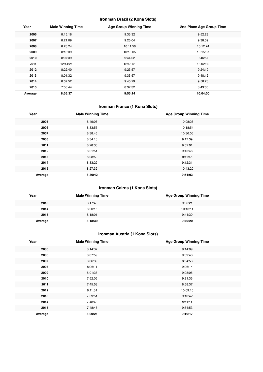## **Ironman Brazil (2 Kona Slots)**

| Year    | <b>Male Winning Time</b> | <b>Age Group Winning Time</b> | 2nd Place Age Group Time |
|---------|--------------------------|-------------------------------|--------------------------|
| 2006    | 8:15:18                  | 9:33:32                       | 9:52:28                  |
| 2007    | 8:21:09                  | 9:25:04                       | 9:38:09                  |
| 2008    | 8:28:24                  | 10:11:56                      | 10:12:24                 |
| 2009    | 8:13:39                  | 10:13:05                      | 10:15:37                 |
| 2010    | 8:07:39                  | 9:44:02                       | 9:46:57                  |
| 2011    | 12:14:21                 | 12:48:51                      | 13:02:32                 |
| 2012    | 8:22:40                  | 9:23:57                       | 9:24:19                  |
| 2013    | 8:01:32                  | 9:33:57                       | 9:48:12                  |
| 2014    | 8:07:52                  | 9:40:29                       | 9:56:23                  |
| 2015    | 7:53:44                  | 8:37:32                       | 8:43:05                  |
| Average | 8:36:37                  | 9:55:14                       | 10:04:00                 |

## **Ironman France (1 Kona Slots)**

| Year    | <b>Male Winning Time</b> | <b>Age Group Winning Time</b> |
|---------|--------------------------|-------------------------------|
| 2005    | 8:49:06                  | 10:08:28                      |
| 2006    | 8:33:55                  | 10:18:54                      |
| 2007    | 8:38:45                  | 10:36:06                      |
| 2008    | 8:34:18                  | 9:17:39                       |
| 2011    | 8:28:30                  | 9:52:01                       |
| 2012    | 8:21:51                  | 9:45:46                       |
| 2013    | 8:08:59                  | 9:11:46                       |
| 2014    | 8:33:22                  | 9:12:31                       |
| 2015    | 8:27:32                  | 10:43:20                      |
| Average | 8:30:42                  | 9:54:03                       |

## **Ironman Cairns (1 Kona Slots)**

| Year    | <b>Male Winning Time</b> | <b>Age Group Winning Time</b> |
|---------|--------------------------|-------------------------------|
| 2013    | 8:17:43                  | 9:06:21                       |
| 2014    | 8:20:15                  | 10:13:11                      |
| 2015    | 8:18:01                  | 9:41:30                       |
| Average | 8:18:39                  | 9:40:20                       |

## **Ironman Austria (1 Kona Slots)**

| Year    | <b>Male Winning Time</b> | <b>Age Group Winning Time</b> |
|---------|--------------------------|-------------------------------|
| 2005    | 8:14:37                  | 9:14:09                       |
| 2006    | 8:07:59                  | 9:09:48                       |
| 2007    | 8:06:39                  | 8:54:53                       |
| 2008    | 8:06:11                  | 9:06:14                       |
| 2009    | 8:01:38                  | 9:08:05                       |
| 2010    | 7:52:05                  | 9:31:33                       |
| 2011    | 7:45:58                  | 8:58:37                       |
| 2012    | 8:11:31                  | 10:09:10                      |
| 2013    | 7:59:51                  | 9:13:42                       |
| 2014    | 7:48:43                  | 9:11:11                       |
| 2015    | 7:48:45                  | 9:54:53                       |
| Average | 8:00:21                  | 9:19:17                       |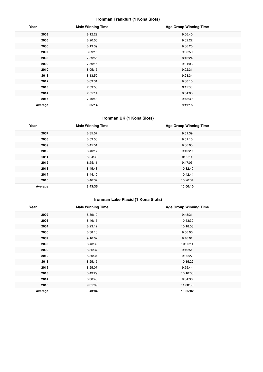## **Ironman Frankfurt (1 Kona Slots)**

| Year    | <b>Male Winning Time</b> | <b>Age Group Winning Time</b> |
|---------|--------------------------|-------------------------------|
| 2003    | 8:12:29                  | 9:06:40                       |
| 2005    | 8:20:50                  | 9:02:22                       |
| 2006    | 8:13:39                  | 9:36:20                       |
| 2007    | 8:09:15                  | 9:06:50                       |
| 2008    | 7:59:55                  | 8:46:24                       |
| 2009    | 7:59:15                  | 9:21:03                       |
| 2010    | 8:05:15                  | 9:02:31                       |
| 2011    | 8:13:50                  | 9:23:34                       |
| 2012    | 8:03:31                  | 9:00:10                       |
| 2013    | 7:59:58                  | 9:11:36                       |
| 2014    | 7:55:14                  | 8:54:08                       |
| 2015    | 7:49:48                  | 9:43:30                       |
| Average | 8:05:14                  | 9:11:15                       |

## **Ironman UK (1 Kona Slots)**

| Year    | <b>Male Winning Time</b> | <b>Age Group Winning Time</b> |
|---------|--------------------------|-------------------------------|
| 2007    | 8:35:57                  | 9:51:39                       |
| 2008    | 8:53:58                  | 9:51:10                       |
| 2009    | 8:45:51                  | 9:36:03                       |
| 2010    | 8:40:17                  | 9:40:20                       |
| 2011    | 8:24:33                  | 9:39:11                       |
| 2012    | 8:55:11                  | 9:47:05                       |
| 2013    | 8:45:48                  | 10:32:49                      |
| 2014    | 8:44:10                  | 10:42:44                      |
| 2015    | 8:46:37                  | 10:20:34                      |
| Average | 8:43:35                  | 10:00:10                      |

## **Ironman Lake Placid (1 Kona Slots)**

| Year    | <b>Male Winning Time</b> | <b>Age Group Winning Time</b> |
|---------|--------------------------|-------------------------------|
| 2002    | 8:39:19                  | 9:48:31                       |
| 2003    | 8:46:15                  | 10:53:30                      |
| 2004    | 8:23:12                  | 10:18:08                      |
| 2006    | 8:38:18                  | 9:56:06                       |
| 2007    | 9:16:02                  | 9:46:01                       |
| 2008    | 8:43:32                  | 10:00:11                      |
| 2009    | 8:36:37                  | 9:49:51                       |
| 2010    | 8:39:34                  | 9:20:27                       |
| 2011    | 8:25:15                  | 10:15:22                      |
| 2012    | 8:25:07                  | 9:55:44                       |
| 2013    | 8:43:29                  | 10:18:03                      |
| 2014    | 8:38:43                  | 9:34:36                       |
| 2015    | 9:31:09                  | 11:08:56                      |
| Average | 8:43:34                  | 10:05:02                      |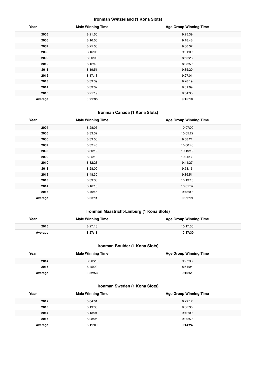## **Ironman Switzerland (1 Kona Slots)**

| Year    | <b>Male Winning Time</b> | <b>Age Group Winning Time</b> |
|---------|--------------------------|-------------------------------|
| 2005    | 8:21:50                  | 9:25:39                       |
| 2006    | 8:16:50                  | 9:18:48                       |
| 2007    | 8:25:00                  | 9:00:32                       |
| 2008    | 8:16:05                  | 9:01:09                       |
| 2009    | 8:20:00                  | 8:55:28                       |
| 2010    | 8:12:40                  | 8:38:59                       |
| 2011    | 8:19:51                  | 9:35:20                       |
| 2012    | 8:17:13                  | 9:27:01                       |
| 2013    | 8:33:39                  | 9:28:19                       |
| 2014    | 8:33:02                  | 9:01:09                       |
| 2015    | 8:21:19                  | 9:54:33                       |
| Average | 8:21:35                  | 9:15:10                       |

## **Ironman Canada (1 Kona Slots)**

| Year    | <b>Male Winning Time</b> | <b>Age Group Winning Time</b> |
|---------|--------------------------|-------------------------------|
| 2004    | 8:28:06                  | 10:07:09                      |
| 2005    | 8:33:32                  | 10:05:22                      |
| 2006    | 8:33:58                  | 9:58:21                       |
| 2007    | 8:32:45                  | 10:00:48                      |
| 2008    | 8:30:12                  | 10:19:12                      |
| 2009    | 8:25:13                  | 10:06:30                      |
| 2010    | 8:32:28                  | 9:41:27                       |
| 2011    | 8:28:09                  | 9:53:16                       |
| 2012    | 8:48:30                  | 9:36:51                       |
| 2013    | 8:39:33                  | 10:13:10                      |
| 2014    | 8:16:10                  | 10:01:37                      |
| 2015    | 8:49:46                  | 9:48:09                       |
| Average | 8:33:11                  | 9:59:19                       |

## **Ironman Maastricht-Limburg (1 Kona Slots)**

| Year    | <b>Male Winning Time</b> | <b>Age Group Winning Time</b> |
|---------|--------------------------|-------------------------------|
| 2015    | 8:27:18                  | 10:17:30                      |
| Average | 8:27:18                  | 10:17:30                      |

## **Ironman Boulder (1 Kona Slots)**

| Year    | <b>Male Winning Time</b> | <b>Age Group Winning Time</b> |
|---------|--------------------------|-------------------------------|
| 2014    | 8:20:26                  | 9:27:38                       |
| 2015    | 8:45:20                  | 8:54:04                       |
| Average | 8:32:53                  | 9:10:51                       |

## **Ironman Sweden (1 Kona Slots)**

| Year    | <b>Male Winning Time</b> | <b>Age Group Winning Time</b> |
|---------|--------------------------|-------------------------------|
| 2012    | 8:04:01                  | 8:29:17                       |
| 2013    | 8:19:30                  | 9:06:30                       |
| 2014    | 8:13:01                  | 9:42:00                       |
| 2015    | 8:08:05                  | 9:39:50                       |
| Average | 8:11:09                  | 9:14:24                       |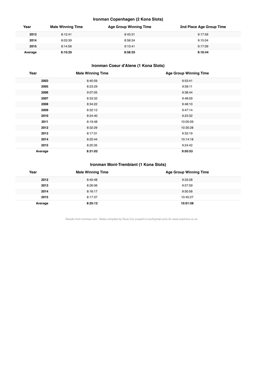## **Ironman Copenhagen (2 Kona Slots)**

| Year    | <b>Male Winning Time</b> | <b>Age Group Winning Time</b> | 2nd Place Age Group Time |
|---------|--------------------------|-------------------------------|--------------------------|
| 2013    | 8:12:41                  | 8:43:31                       | 9:17:59                  |
| 2014    | 8:03:39                  | 8:58:34                       | 9:15:04                  |
| 2015    | 8:14:56                  | 9:13:41                       | 9:17:09                  |
| Average | 8:10:25                  | 8:58:35                       | 9:16:44                  |

## **Ironman Coeur d'Alene (1 Kona Slots)**

| Year    | <b>Male Winning Time</b> | <b>Age Group Winning Time</b> |
|---------|--------------------------|-------------------------------|
| 2003    | 8:40:59                  | 9:53:41                       |
| 2005    | 8:23:29                  | 9:58:11                       |
| 2006    | 9:07:05                  | 9:38:44                       |
| 2007    | 8:33:32                  | 9:48:09                       |
| 2008    | 8:34:22                  | 9:48:10                       |
| 2009    | 8:32:12                  | 9:47:14                       |
| 2010    | 8:24:40                  | 9:23:32                       |
| 2011    | 8:19:48                  | 10:05:09                      |
| 2012    | 8:32:29                  | 10:35:28                      |
| 2013    | 8:17:31                  | 9:33:19                       |
| 2014    | 8:25:44                  | 10:14:18                      |
| 2015    | 8:20:35                  | 9:24:42                       |
| Average | 8:31:02                  | 9:50:53                       |

## **Ironman Mont-Tremblant (1 Kona Slots)**

| Year    | <b>Male Winning Time</b> | <b>Age Group Winning Time</b> |
|---------|--------------------------|-------------------------------|
| 2012    | 8:40:48                  | 9:33:28                       |
| 2013    | 8:26:06                  | 9:57:59                       |
| 2014    | 8:16:17                  | 9:50:58                       |
| 2015    | 8:17:37                  | 10:45:27                      |
| Average | 8:25:12                  | 10:01:58                      |

Results from Ironman.com. Tables compiled by Russ Cox (russell.m.cox@gmail.com) for www.coachcox.co.uk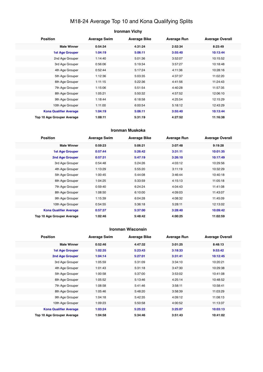## M18-24 Average Top 10 and Kona Qualifying Splits

## **Ironman Vichy Position Average Swim Average Bike Average Run Average Overall Male Winner 0:54:34 4:31:24 2:52:34 8:23:49 1st Age Grouper 1:04:19 5:06:11 3:55:40 10:13:44** 2nd Age Grouper 1:14:40 5:01:36 3:52:07 10:15:52 3rd Age Grouper 0:56:06 5:19:34 3:57:27 10:18:48 4th Age Grouper 0:52:44 5:17:24 4:11:36 10:28:16 5th Age Grouper 1:12:36 5:03:35 4:37:37 11:02:20 6th Age Grouper 1:11:15 5:22:36 4:41:56 11:24:43 7th Age Grouper 1:15:06 5:51:54 4:40:28 11:57:35 8th Age Grouper 1:05:21 5:50:32 4:57:52 12:06:10 9th Age Grouper 1:18:44 6:18:58 4:25:54 12:15:29 10th Age Grouper 1:11:00 6:00:54 5:18:12 12:43:29 **Kona Qualifier Average 1:04:19 5:06:11 3:55:40 10:13:44 Top 10 Age Grouper Average 1:08:11 5:31:19 4:27:52 11:16:38**

#### **Ironman Muskoka**

| <b>Position</b>                   | <b>Average Swim</b> | <b>Average Bike</b> | <b>Average Run</b> | <b>Average Overall</b> |
|-----------------------------------|---------------------|---------------------|--------------------|------------------------|
| <b>Male Winner</b>                | 0:59:23             | 5:06:21             | 3:07:48            | 9:19:28                |
| <b>1st Age Grouper</b>            | 0:57:44             | 5:26:42             | 3:31:11            | 10:01:35               |
| 2nd Age Grouper                   | 0:57:31             | 5:47:19             | 3:26:10            | 10:17:49               |
| 3rd Age Grouper                   | 0:54:48             | 5:24:26             | 4:03:12            | 10:29:56               |
| 4th Age Grouper                   | 1:13:29             | 5:55:20             | 3:11:19            | 10:32:29               |
| 5th Age Grouper                   | 1:00:45             | 5:44:08             | 3:46:44            | 10:40:18               |
| 6th Age Grouper                   | 1:04:25             | 5:33:59             | 4:15:13            | 11:05:18               |
| 7th Age Grouper                   | 0:59:40             | 6:24:24             | 4:04:43            | 11:41:08               |
| 8th Age Grouper                   | 1:08:50             | 6:10:00             | 4:09:03            | 11:43:07               |
| 9th Age Grouper                   | 1:15:39             | 6:04:28             | 4:08:32            | 11:45:09               |
| 10th Age Grouper                  | 0:54:55             | 5:36:18             | 5:28:11            | 12:13:02               |
| <b>Kona Qualifier Average</b>     | 0:57:37             | 5:37:00             | 3:28:40            | 10:09:42               |
| <b>Top 10 Age Grouper Average</b> | 1:02:46             | 5:48:42             | 4:00:25            | 11:02:59               |

#### **Ironman Wisconsin**

| <b>Position</b>                   | <b>Average Swim</b> | <b>Average Bike</b> | <b>Average Run</b> | <b>Average Overall</b> |
|-----------------------------------|---------------------|---------------------|--------------------|------------------------|
| <b>Male Winner</b>                | 0:52:46             | 4:47:32             | 3:01:25            | 8:48:13                |
| <b>1st Age Grouper</b>            | 1:02:35             | 5:23:43             | 3:18:33            | 9:53:42                |
| 2nd Age Grouper                   | 1:04:14             | 5:27:01             | 3:31:41            | 10:12:45               |
| 3rd Age Grouper                   | 1:05:59             | 5:31:09             | 3:34:10            | 10:20:21               |
| 4th Age Grouper                   | 1:01:43             | 5:31:18             | 3:47:30            | 10:29:38               |
| 5th Age Grouper                   | 1:00:58             | 5:37:00             | 3:53:02            | 10:41:08               |
| 6th Age Grouper                   | 1:05:52             | 5:13:46             | 4:25:14            | 10:48:52               |
| 7th Age Grouper                   | 1:08:58             | 5:41:46             | 3:58:11            | 10:58:41               |
| 8th Age Grouper                   | 1:05:46             | 5:48:20             | 3:58:39            | 11:03:29               |
| 9th Age Grouper                   | 1:04:18             | 5:42:35             | 4:09:12            | 11:08:13               |
| 10th Age Grouper                  | 1:09:23             | 5:50:58             | 4:00:52            | 11:13:37               |
| <b>Kona Qualifier Average</b>     | 1:03:24             | 5:25:22             | 3:25:07            | 10:03:13               |
| <b>Top 10 Age Grouper Average</b> | 1:04:58             | 5:34:46             | 3:51:43            | 10:41:02               |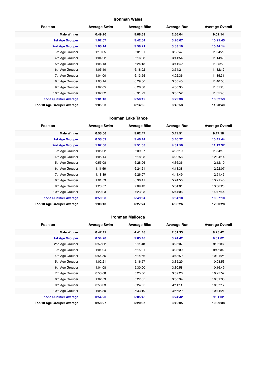## **Ironman Wales**

| <b>Position</b>               | <b>Average Swim</b> | <b>Average Bike</b> | <b>Average Run</b> | <b>Average Overall</b> |
|-------------------------------|---------------------|---------------------|--------------------|------------------------|
| <b>Male Winner</b>            | 0:49:20             | 5:08:59             | 2:56:04            | 9:02:14                |
| <b>1st Age Grouper</b>        | 1:02:07             | 5:42:04             | 3:26:07            | 10:21:45               |
| 2nd Age Grouper               | 1:00:14             | 5:58:21             | 3:33:10            | 10:44:14               |
| 3rd Age Grouper               | 1:10:35             | 6:01:01             | 3:38:47            | 11:04:22               |
| 4th Age Grouper               | 1:04:22             | 6:16:03             | 3:41:54            | 11:14:40               |
| 5th Age Grouper               | 1:06:13             | 6:24:13             | 3:41:42            | 11:25:52               |
| 6th Age Grouper               | 1:05:10             | 6:18:02             | 3:54:21            | 11:32:12               |
| 7th Age Grouper               | 1:04:00             | 6:13:55             | 4:02:36            | 11:35:31               |
| 8th Age Grouper               | 1:03:14             | 6:29:06             | 3:53:45            | 11:40:56               |
| 9th Age Grouper               | 1:07:05             | 6:26:38             | 4:00:35            | 11:51:26               |
| 10th Age Grouper              | 1:07:32             | 6:31:29             | 3:55:52            | 11:55:45               |
| <b>Kona Qualifier Average</b> | 1:01:10             | 5:50:12             | 3:29:38            | 10:32:59               |
| Top 10 Age Grouper Average    | 1:05:03             | 6:14:05             | 3:46:53            | 11:20:40               |

#### **Ironman Lake Tahoe**

| <b>Position</b>               | <b>Average Swim</b> | <b>Average Bike</b> | <b>Average Run</b> | <b>Average Overall</b> |
|-------------------------------|---------------------|---------------------|--------------------|------------------------|
| <b>Male Winner</b>            | 0:56:06             | 5:02:47             | 3:11:51            | 9:17:18                |
| <b>1st Age Grouper</b>        | 0:56:59             | 5:46:14             | 3:46:22            | 10:41:44               |
| 2nd Age Grouper               | 1:02:56             | 5:51:53             | 4:01:59            | 11:12:37               |
| 3rd Age Grouper               | 1:05:02             | 6:09:07             | 4:05:10            | 11:34:18               |
| 4th Age Grouper               | 1:05:14             | 6:18:23             | 4:20:56            | 12:04:14               |
| 5th Age Grouper               | 0:55:08             | 6:28:06             | 4:36:36            | 12:12:10               |
| 6th Age Grouper               | 1:11:56             | 6:24:21             | 4:18:38            | 12:22:07               |
| 7th Age Grouper               | 1:18:39             | 6:26:07             | 4:41:49            | 12:51:45               |
| 8th Age Grouper               | 1:01:53             | 6:36:41             | 5:24:50            | 13:21:46               |
| 9th Age Grouper               | 1:23:57             | 7:09:43             | 5:04:01            | 13:56:20               |
| 10th Age Grouper              | 1:20:23             | 7:23:23             | 5:44:06            | 14:47:44               |
| <b>Kona Qualifier Average</b> | 0:59:58             | 5:49:04             | 3:54:10            | 10:57:10               |
| Top 10 Age Grouper Average    | 1:08:13             | 6:27:24             | 4:36:26            | 12:30:28               |

#### **Ironman Mallorca**

| <b>Position</b>               | <b>Average Swim</b> | <b>Average Bike</b> | <b>Average Run</b> | <b>Average Overall</b> |
|-------------------------------|---------------------|---------------------|--------------------|------------------------|
| <b>Male Winner</b>            | 0:47:41             | 4:41:48             | 2:51:33            | 8:25:42                |
| <b>1st Age Grouper</b>        | 0:54:20             | 5:05:48             | 3:24:42            | 9:31:02                |
| 2nd Age Grouper               | 0:52:32             | 5:11:48             | 3:25:07            | 9:36:36                |
| 3rd Age Grouper               | 1:01:04             | 5:15:01             | 3:23:00            | 9:47:34                |
| 4th Age Grouper               | 0:54:56             | 5:14:56             | 3:43:59            | 10:01:25               |
| 5th Age Grouper               | 1:02:21             | 5:16:57             | 3:35:29            | 10:03:53               |
| 6th Age Grouper               | 1:04:08             | 5:30:00             | 3:30:58            | 10:16:49               |
| 7th Age Grouper               | 0:53:08             | 5:25:56             | 3:59:26            | 10:25:52               |
| 8th Age Grouper               | 1:02:59             | 5:27:35             | 3:50:34            | 10:31:35               |
| 9th Age Grouper               | 0:53:33             | 5:24:55             | 4:11:11            | 10:37:17               |
| 10th Age Grouper              | 1:05:30             | 5:33:10             | 3:56:29            | 10:44:21               |
| <b>Kona Qualifier Average</b> | 0:54:20             | 5:05:48             | 3:24:42            | 9:31:02                |
| Top 10 Age Grouper Average    | 0:58:27             | 5:20:37             | 3:42:05            | 10:09:38               |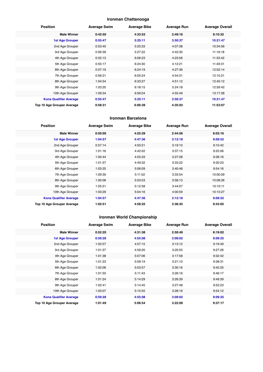## **Ironman Chattanooga**

| <b>Position</b>               | <b>Average Swim</b> | <b>Average Bike</b> | <b>Average Run</b> | <b>Average Overall</b> |
|-------------------------------|---------------------|---------------------|--------------------|------------------------|
| <b>Male Winner</b>            | 0:42:50             | 4:33:53             | 2:49:16            | 8:10:32                |
| <b>1st Age Grouper</b>        | 0:55:47             | 5:25:11             | 3:50:37            | 10:21:47               |
| 2nd Age Grouper               | 0:53:45             | 5:25:33             | 4:07:38            | 10:34:56               |
| 3rd Age Grouper               | 0:56:39             | 5:27:22             | 4:42:30            | 11:16:18               |
| 4th Age Grouper               | 0:52:13             | 6:06:23             | 4:23:56            | 11:33:42               |
| 5th Age Grouper               | 0:55:17             | 6:24:30             | 4:12:21            | 11:49:31               |
| 6th Age Grouper               | 0:57:19             | 6:24:19             | 4:27:36            | 12:02:14               |
| 7th Age Grouper               | 0:56:21             | 6:05:24             | 4:54:31            | 12:10:21               |
| 8th Age Grouper               | 1:04:54             | 6:33:27             | 4:51:12            | 12:45:12               |
| 9th Age Grouper               | 1:03:20             | 6:18:15             | 5:24:18            | 12:59:42               |
| 10th Age Grouper              | 1:09:34             | 6:56:04             | 4:55:49            | 13:17:28               |
| <b>Kona Qualifier Average</b> | 0:55:47             | 5:25:11             | 3:50:37            | 10:21:47               |
| Top 10 Age Grouper Average    | 0:58:31             | 6:06:39             | 4:35:03            | 11:53:07               |

#### **Ironman Barcelona**

| <b>Position</b>               | <b>Average Swim</b> | <b>Average Bike</b> | <b>Average Run</b> | <b>Average Overall</b> |
|-------------------------------|---------------------|---------------------|--------------------|------------------------|
| <b>Male Winner</b>            | 0:50:00             | 4:25:29             | 2:44:56            | 8:03:16                |
| <b>1st Age Grouper</b>        | 1:04:57             | 4:47:36             | 3:12:18            | 9:09:52                |
| 2nd Age Grouper               | 0:57:14             | 4:50:21             | 3:19:10            | 9:10:42                |
| 3rd Age Grouper               | 1:01:16             | 4:42:02             | 3:37:15            | 9:25:06                |
| 4th Age Grouper               | 1:00:44             | 4:55:33             | 3:27:28            | 9:28:16                |
| 5th Age Grouper               | 1:01:57             | 4:49:32             | 3:33:22            | 9:30:23                |
| 6th Age Grouper               | 1:03:25             | 5:06:09             | 3:40:48            | 9:54:16                |
| 7th Age Grouper               | 1:09:30             | 5:11:52             | 3:33:54            | 10:00:09               |
| 8th Age Grouper               | 1:00:06             | 5:03:53             | 3:58:13            | 10:08:26               |
| 9th Age Grouper               | 1:05:51             | 5:12:58             | 3:44:07            | 10:10:11               |
| 10th Age Grouper              | 1:03:29             | 5:04:16             | 4:00:59            | 10:13:27               |
| <b>Kona Qualifier Average</b> | 1:04:57             | 4:47:36             | 3:12:18            | 9:09:52                |
| Top 10 Age Grouper Average    | 1:02:51             | 4:58:25             | 3:36:45            | 9:43:05                |

## **Ironman World Championship**

| <b>Position</b>               | <b>Average Swim</b> | <b>Average Bike</b> | <b>Average Run</b> | <b>Average Overall</b> |
|-------------------------------|---------------------|---------------------|--------------------|------------------------|
| <b>Male Winner</b>            | 0:52:20             | 4:31:38             | 2:50:49            | 8:19:02                |
| <b>1st Age Grouper</b>        | 0:59:28             | 4:55:08             | 3:09:02            | 9:09:25                |
| 2nd Age Grouper               | 1:02:57             | 4:57:15             | 3:13:12            | 9:19:49                |
| 3rd Age Grouper               | 1:01:27             | 4:59:20             | 3:20:55            | 9:27:26                |
| 4th Age Grouper               | 1:01:38             | 5:07:06             | 3:17:58            | 9:32:42                |
| 5th Age Grouper               | 1:01:23             | 5:09:19             | 3:21:10            | 9:38:31                |
| 6th Age Grouper               | 1:02:06             | 5:03:57             | 3:30:16            | 9:42:25                |
| 7th Age Grouper               | 1:01:55             | 5:11:43             | 3:26:16            | 9:46:17                |
| 8th Age Grouper               | 1:01:24             | 5:14:29             | 3:26:39            | 9:49:39                |
| 9th Age Grouper               | 1:02:41             | 5:14:45             | 3:27:48            | 9:52:23                |
| 10th Age Grouper              | 1:03:07             | 5:15:55             | 3:28:16            | 9:54:12                |
| <b>Kona Qualifier Average</b> | 0:59:28             | 4:55:08             | 3:09:02            | 9:09:25                |
| Top 10 Age Grouper Average    | 1:01:49             | 5:06:54             | 3:22:09            | 9:37:17                |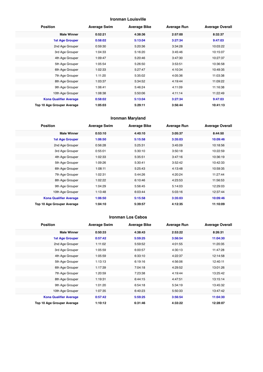## **Ironman Louisville**

| <b>Position</b>               | <b>Average Swim</b> | <b>Average Bike</b> | <b>Average Run</b> | <b>Average Overall</b> |
|-------------------------------|---------------------|---------------------|--------------------|------------------------|
| <b>Male Winner</b>            | 0:52:21             | 4:38:36             | 2:57:00            | 8:32:37                |
| <b>1st Age Grouper</b>        | 0:58:02             | 5:13:04             | 3:27:34            | 9:47:03                |
| 2nd Age Grouper               | 0:59:30             | 5:20:36             | 3:34:28            | 10:03:22               |
| 3rd Age Grouper               | 1:04:33             | 5:16:20             | 3:45:46            | 10:15:07               |
| 4th Age Grouper               | 1:09:47             | 5:20:46             | 3:47:30            | 10:27:37               |
| 5th Age Grouper               | 1:05:54             | 5:26:50             | 3:53:51            | 10:36:58               |
| 6th Age Grouper               | 1:02:33             | 5:27:47             | 4:10:34            | 10:49:35               |
| 7th Age Grouper               | 1:11:20             | 5:35:02             | 4:05:36            | 11:03:38               |
| 8th Age Grouper               | 1:03:37             | 5:34:52             | 4:19:44            | 11:09:22               |
| 9th Age Grouper               | 1:06:41             | 5:46:24             | 4:11:09            | 11:16:38               |
| 10th Age Grouper              | 1:08:38             | 5:50:06             | 4:11:14            | 11:22:49               |
| <b>Kona Qualifier Average</b> | 0:58:02             | 5:13:04             | 3:27:34            | 9:47:03                |
| Top 10 Age Grouper Average    | 1:05:03             | 5:29:11             | 3:56:44            | 10:41:13               |

## **Ironman Maryland**

| <b>Position</b>               | <b>Average Swim</b> | <b>Average Bike</b> | <b>Average Run</b> | <b>Average Overall</b> |
|-------------------------------|---------------------|---------------------|--------------------|------------------------|
| <b>Male Winner</b>            | 0:53:10             | 4:40:10             | 3:05:37            | 8:44:50                |
| <b>1st Age Grouper</b>        | 1:06:50             | 5:15:58             | 3:35:03            | 10:09:46               |
| 2nd Age Grouper               | 0:56:28             | 5:25:31             | 3:45:09            | 10:18:56               |
| 3rd Age Grouper               | 0:55:01             | 5:30:10             | 3:50:18            | 10:22:59               |
| 4th Age Grouper               | 1:02:33             | 5:35:51             | 3:47:16            | 10:36:19               |
| 5th Age Grouper               | 1:09:26             | 5:30:41             | 3:52:42            | 10:42:33               |
| 6th Age Grouper               | 1:08:11             | 5:25:43             | 4:13:48            | 10:59:35               |
| 7th Age Grouper               | 1:02:31             | 5:44:26             | 4:20:24            | 11:27:44               |
| 8th Age Grouper               | 1:02:22             | 6:10:46             | 4:23:53            | 11:56:53               |
| 9th Age Grouper               | 1:04:29             | 5:56:45             | 5:14:03            | 12:29:03               |
| 10th Age Grouper              | 1:13:48             | 6:03:44             | 5:03:16            | 12:37:44               |
| <b>Kona Qualifier Average</b> | 1:06:50             | 5:15:58             | 3:35:03            | 10:09:46               |
| Top 10 Age Grouper Average    | 1:04:10             | 5:39:57             | 4:12:35            | 11:10:09               |

#### **Ironman Los Cabos**

| <b>Position</b>               | <b>Average Swim</b> | <b>Average Bike</b> | <b>Average Run</b> | <b>Average Overall</b> |
|-------------------------------|---------------------|---------------------|--------------------|------------------------|
| <b>Male Winner</b>            | 0:50:33             | 4:38:43             | 2:53:22            | 8:26:31                |
| <b>1st Age Grouper</b>        | 0:57:42             | 5:59:25             | 3:56:54            | 11:04:30               |
| 2nd Age Grouper               | 1:11:02             | 5:59:52             | 4:01:55            | 11:20:35               |
| 3rd Age Grouper               | 1:05:59             | 6:00:57             | 4:30:13            | 11:47:28               |
| 4th Age Grouper               | 1:05:59             | 6:33:10             | 4:22:37            | 12:14:58               |
| 5th Age Grouper               | 1:13:13             | 6:19:16             | 4:56:06            | 12:40:11               |
| 6th Age Grouper               | 1:17:39             | 7:04:18             | 4:29:52            | 13:01:26               |
| 7th Age Grouper               | 1:20:59             | 7:23:38             | 4:19:44            | 13:25:42               |
| 8th Age Grouper               | 1:19:31             | 6:44:15             | 4:47:51            | 13:15:14               |
| 9th Age Grouper               | 1:01:20             | 6:54:18             | 5:34:19            | 13:45:32               |
| 10th Age Grouper              | 1:07:35             | 6:40:23             | 5:50:33            | 13:47:42               |
| <b>Kona Qualifier Average</b> | 0:57:42             | 5:59:25             | 3:56:54            | 11:04:30               |
| Top 10 Age Grouper Average    | 1:10:12             | 6:31:46             | 4:33:22            | 12:28:07               |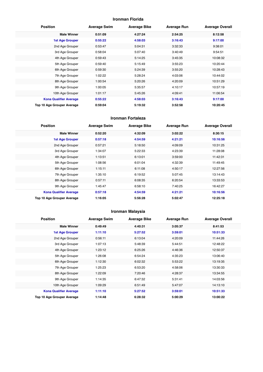## **Ironman Florida**

| <b>Position</b>               | <b>Average Swim</b> | <b>Average Bike</b> | <b>Average Run</b> | <b>Average Overall</b> |
|-------------------------------|---------------------|---------------------|--------------------|------------------------|
| <b>Male Winner</b>            | 0:51:09             | 4:27:24             | 2:54:25            | 8:12:58                |
| <b>1st Age Grouper</b>        | 0:55:22             | 4:58:03             | 3:16:43            | 9:17:00                |
| 2nd Age Grouper               | 0:53:47             | 5:04:31             | 3:32:33            | 9:38:01                |
| 3rd Age Grouper               | 0:58:04             | 5:07:40             | 3:40:49            | 9:54:51                |
| 4th Age Grouper               | 0:59:43             | 5:14:25             | 3:45:35            | 10:08:32               |
| 5th Age Grouper               | 0:59:40             | 5:15:49             | 3:55:23            | 10:20:44               |
| 6th Age Grouper               | 0:59:30             | 5:24:39             | 3:55:20            | 10:28:43               |
| 7th Age Grouper               | 1:02:22             | 5:28:24             | 4:03:06            | 10:44:02               |
| 8th Age Grouper               | 1:00:54             | 5:20:26             | 4:20:09            | 10:51:29               |
| 9th Age Grouper               | 1:00:05             | 5:35:57             | 4:10:17            | 10:57:19               |
| 10th Age Grouper              | 1:01:17             | 5:45:26             | 4:09:41            | 11:06:54               |
| <b>Kona Qualifier Average</b> | 0:55:22             | 4:58:03             | 3:16:43            | 9:17:00                |
| Top 10 Age Grouper Average    | 0:59:04             | 5:19:32             | 3:52:58            | 10:20:45               |

#### **Ironman Fortaleza**

| <b>Position</b>               | <b>Average Swim</b> | <b>Average Bike</b> | <b>Average Run</b> | <b>Average Overall</b> |
|-------------------------------|---------------------|---------------------|--------------------|------------------------|
| <b>Male Winner</b>            | 0:52:20             | 4:32:09             | 3:02:22            | 8:30:15                |
| <b>1st Age Grouper</b>        | 0:57:18             | 4:54:59             | 4:21:21            | 10:16:56               |
| 2nd Age Grouper               | 0:57:21             | 5:18:50             | 4:09:09            | 10:31:25               |
| 3rd Age Grouper               | 1:34:07             | 5:22:33             | 4:23:39            | 11:28:08               |
| 4th Age Grouper               | 1:13:51             | 6:13:01             | 3:59:00            | 11:42:31               |
| 5th Age Grouper               | 1:08:56             | 6:01:04             | 4:32:39            | 11:49:45               |
| 6th Age Grouper               | 1:15:11             | 6:11:08             | 4:50:17            | 12:27:56               |
| 7th Age Grouper               | 1:35:10             | 6:19:52             | 5:07:45            | 13:14:43               |
| 8th Age Grouper               | 0:57:11             | 6:08:35             | 6:20:54            | 13:33:53               |
| 9th Age Grouper               | 1:45:47             | 6:58:10             | 7:40:25            | 16:42:27               |
| <b>Kona Qualifier Average</b> | 0:57:18             | 4:54:59             | 4:21:21            | 10:16:56               |
| Top 10 Age Grouper Average    | 1:16:05             | 5:56:28             | 5:02:47            | 12:25:18               |

## **Ironman Malaysia**

| <b>Position</b>               | <b>Average Swim</b> | <b>Average Bike</b> | <b>Average Run</b> | <b>Average Overall</b> |
|-------------------------------|---------------------|---------------------|--------------------|------------------------|
| <b>Male Winner</b>            | 0:49:49             | 4:40:31             | 3:05:37            | 8:41:53                |
| <b>1st Age Grouper</b>        | 1:11:10             | 5:27:52             | 3:59:01            | 10:51:33               |
| 2nd Age Grouper               | 0:56:11             | 6:13:04             | 4:20:09            | 11:44:26               |
| 3rd Age Grouper               | 1:07:13             | 5:48:39             | 5:44:51            | 12:48:22               |
| 4th Age Grouper               | 1:23:12             | 6:25:26             | 4:46:36            | 12:50:37               |
| 5th Age Grouper               | 1:26:08             | 6:54:24             | 4:35:23            | 13:06:40               |
| 6th Age Grouper               | 1:12:30             | 6:02:32             | 5:53:22            | 13:19:35               |
| 7th Age Grouper               | 1:25:23             | 6:53:20             | 4:58:06            | 13:30:33               |
| 8th Age Grouper               | 1:22:09             | 7:20:46             | 4:28:37            | 13:34:55               |
| 9th Age Grouper               | 1:14:35             | 6:47:32             | 5:31:41            | 14:03:56               |
| 10th Age Grouper              | 1:09:29             | 6:51:49             | 5:47:07            | 14:13:10               |
| <b>Kona Qualifier Average</b> | 1:11:10             | 5:27:52             | 3:59:01            | 10:51:33               |
| Top 10 Age Grouper Average    | 1:14:48             | 6:28:32             | 5:00:29            | 13:00:22               |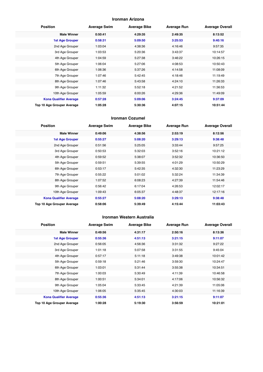#### **Ironman Arizona**

| <b>Position</b>               | <b>Average Swim</b> | <b>Average Bike</b> | <b>Average Run</b> | <b>Average Overall</b> |
|-------------------------------|---------------------|---------------------|--------------------|------------------------|
| <b>Male Winner</b>            | 0:50:41             | 4:29:35             | 2:49:35            | 8:13:52                |
| <b>1st Age Grouper</b>        | 0:58:31             | 5:09:50             | 3:25:53            | 9:40:16                |
| 2nd Age Grouper               | 1:03:04             | 4:38:36             | 4:16:46            | 9:57:35                |
| 3rd Age Grouper               | 1:03:53             | 5:20:36             | 3:43:37            | 10:14:57               |
| 4th Age Grouper               | 1:04:59             | 5:27:38             | 3:46:22            | 10:26:15               |
| 5th Age Grouper               | 1:06:04             | 5:27:06             | 4:08:53            | 10:50:43               |
| 6th Age Grouper               | 1:06:36             | 5:37:26             | 4:14:58            | 11:08:09               |
| 7th Age Grouper               | 1:07:46             | 5:42:45             | 4:18:46            | 11:19:49               |
| 8th Age Grouper               | 1:07:46             | 5:43:58             | 4:24:10            | 11:26:33               |
| 9th Age Grouper               | 1:11:32             | 5:52:18             | 4:21:52            | 11:36:53               |
| 10th Age Grouper              | 1:05:59             | 6:00:26             | 4:29:36            | 11:49:09               |
| <b>Kona Qualifier Average</b> | 0:57:28             | 5:09:06             | 3:24:45            | 9:37:09                |
| Top 10 Age Grouper Average    | 1:05:28             | 5:30:36             | 4:07:15            | 10:51:44               |

#### **Ironman Cozumel**

| <b>Position</b>               | <b>Average Swim</b> | <b>Average Bike</b> | <b>Average Run</b> | <b>Average Overall</b> |
|-------------------------------|---------------------|---------------------|--------------------|------------------------|
| <b>Male Winner</b>            | 0:49:06             | 4:38:56             | 2:53:19            | 8:12:56                |
| <b>1st Age Grouper</b>        | 0:55:27             | 5:08:20             | 3:29:13            | 9:38:48                |
| 2nd Age Grouper               | 0:51:56             | 5:25:05             | 3:33:44            | 9:57:25                |
| 3rd Age Grouper               | 0:50:53             | 5:32:03             | 3:52:16            | 10:21:12               |
| 4th Age Grouper               | 0:59:52             | 5:38:07             | 3:52:32            | 10:36:50               |
| 5th Age Grouper               | 0:59:51             | 5:39:55             | 4:01:29            | 10:50:29               |
| 6th Age Grouper               | 0:53:17             | 5:42:35             | 4:32:30            | 11:23:29               |
| 7th Age Grouper               | 0:55:22             | 5:01:02             | 5:32:24            | 11:34:39               |
| 8th Age Grouper               | 1:07:52             | 6:08:23             | 4:27:39            | 11:54:46               |
| 9th Age Grouper               | 0:56:42             | 6:17:04             | 4:26:53            | 12:02:17               |
| 10th Age Grouper              | 1:09:43             | 6:05:37             | 4:48:37            | 12:17:16               |
| <b>Kona Qualifier Average</b> | 0:55:27             | 5:08:20             | 3:29:13            | 9:38:48                |
| Top 10 Age Grouper Average    | 0:58:06             | 5:39:49             | 4:15:44            | 11:03:43               |

#### **Ironman Western Australia**

| <b>Position</b>               | <b>Average Swim</b> | <b>Average Bike</b> | <b>Average Run</b> | <b>Average Overall</b> |
|-------------------------------|---------------------|---------------------|--------------------|------------------------|
| <b>Male Winner</b>            | 0:49:56             | 4:31:17             | 2:50:16            | 8:13:36                |
| <b>1st Age Grouper</b>        | 0:55:36             | 4:51:13             | 3:21:15            | 9:11:07                |
| 2nd Age Grouper               | 0:56:05             | 4:56:36             | 3:31:32            | 9:27:22                |
| 3rd Age Grouper               | 1:01:18             | 5:07:58             | 3:31:55            | 9:45:04                |
| 4th Age Grouper               | 0:57:17             | 5:11:18             | 3:49:38            | 10:01:42               |
| 5th Age Grouper               | 0:59:18             | 5:21:46             | 3:59:30            | 10:24:47               |
| 6th Age Grouper               | 1:03:01             | 5:31:44             | 3:55:38            | 10:34:51               |
| 7th Age Grouper               | 1:00:03             | 5:30:49             | 4:11:39            | 10:46:58               |
| 8th Age Grouper               | 1:00:51             | 5:34:01             | 4:17:06            | 10:56:32               |
| 9th Age Grouper               | 1:05:04             | 5:33:45             | 4:21:39            | 11:05:06               |
| 10th Age Grouper              | 1:06:05             | 5:35:45             | 4:30:03            | 11:16:39               |
| <b>Kona Qualifier Average</b> | 0:55:36             | 4:51:13             | 3:21:15            | 9:11:07                |
| Top 10 Age Grouper Average    | 1:00:28             | 5:19:30             | 3:56:59            | 10:21:01               |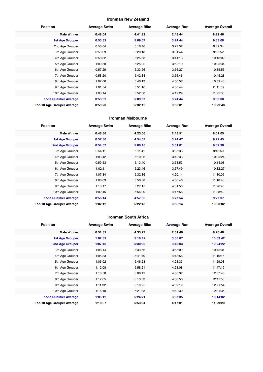## **Ironman New Zealand**

| <b>Position</b>               | <b>Average Swim</b> | <b>Average Bike</b> | <b>Average Run</b> | <b>Average Overall</b> |
|-------------------------------|---------------------|---------------------|--------------------|------------------------|
| <b>Male Winner</b>            | 0:48:04             | 4:41:22             | 2:48:44            | 8:22:46                |
| <b>1st Age Grouper</b>        | 0:53:32             | 5:09:07             | 3:24:44            | 9:33:08                |
| 2nd Age Grouper               | 0:58:04             | 5:16:46             | 3:27:52            | 9:49:34                |
| 3rd Age Grouper               | 0:59:09             | 5:20:18             | 3:31:44            | 9:58:52                |
| 4th Age Grouper               | 0:58:32             | 5:25:58             | 3:41:13            | 10:13:02               |
| 5th Age Grouper               | 1:00:58             | 5:25:02             | 3:52:10            | 10:25:34               |
| 6th Age Grouper               | 0:57:29             | 5:33:26             | 3:56:27            | 10:35:53               |
| 7th Age Grouper               | 0:58:20             | 5:42:34             | 3:56:46            | 10:45:28               |
| 8th Age Grouper               | 1:02:06             | 5:46:13             | 4:00:57            | 10:59:43               |
| 9th Age Grouper               | 1:01:54             | 5:51:16             | 4:08:44            | 11:11:09               |
| 10th Age Grouper              | 1:03:14             | 5:52:30             | 4:19:29            | 11:25:36               |
| <b>Kona Qualifier Average</b> | 0:53:32             | 5:09:07             | 3:24:44            | 9:33:08                |
| Top 10 Age Grouper Average    | 0:59:20             | 5:32:19             | 3:50:01            | 10:29:48               |

#### **Ironman Melbourne**

| <b>Position</b>               | <b>Average Swim</b> | <b>Average Bike</b> | <b>Average Run</b> | <b>Average Overall</b> |
|-------------------------------|---------------------|---------------------|--------------------|------------------------|
| <b>Male Winner</b>            | 0:48:36             | 4:25:06             | 2:43:51            | 8:01:05                |
| <b>1st Age Grouper</b>        | 0:57:30             | 4:54:57             | 3:24:47            | 9:22:45                |
| 2nd Age Grouper               | 0:54:57             | 5:00:16             | 3:31:01            | 9:32:30                |
| 3rd Age Grouper               | 0:54:11             | 5:11:41             | 3:35:33            | 9:48:50                |
| 4th Age Grouper               | 1:03:42             | 5:10:06             | 3:42:33            | 10:05:24               |
| 5th Age Grouper               | 0:59:53             | 5:13:40             | 3:53:53            | 10:14:08               |
| 6th Age Grouper               | 1:02:11             | 5:23:46             | 3:57:49            | 10:32:27               |
| 7th Age Grouper               | 1:07:34             | 5:32:36             | 4:20:14            | 11:10:05               |
| 8th Age Grouper               | 1:06:03             | 5:56:38             | 4:06:46            | 11:18:48               |
| 9th Age Grouper               | 1:13:17             | 5:27:15             | 4:31:50            | 11:26:45               |
| 10th Age Grouper              | 1:02:45             | 5:56:20             | 4:17:56            | 11:28:42               |
| <b>Kona Qualifier Average</b> | 0:56:14             | 4:57:36             | 3:27:54            | 9:27:37                |
| Top 10 Age Grouper Average    | 1:02:12             | 5:22:43             | 3:56:14            | 10:30:02               |

#### **Ironman South Africa**

| <b>Position</b>               | <b>Average Swim</b> | <b>Average Bike</b> | <b>Average Run</b> | <b>Average Overall</b> |
|-------------------------------|---------------------|---------------------|--------------------|------------------------|
| <b>Male Winner</b>            | 0:51:32             | 4:33:27             | 2:51:49            | 8:20:46                |
| <b>1st Age Grouper</b>        | 1:02:39             | 5:18:42             | 3:35:07            | 10:03:42               |
| 2nd Age Grouper               | 1:07:46             | 5:30:00             | 3:40:03            | 10:24:22               |
| 3rd Age Grouper               | 1:08:14             | 5:33:56             | 3:55:09            | 10:45:31               |
| 4th Age Grouper               | 1:05:33             | 5:41:40             | 4:13:58            | 11:10:16               |
| 5th Age Grouper               | 1:06:02             | 5:46:23             | 4:28:33            | 11:29:08               |
| 6th Age Grouper               | 1:12:08             | 5:58:21             | 4:28:08            | 11:47:19               |
| 7th Age Grouper               | 1:13:58             | 6:06:42             | 4:36:37            | 12:07:43               |
| 8th Age Grouper               | 1:17:05             | 6:13:53             | 4:30:50            | 12:11:53               |
| 9th Age Grouper               | 1:11:32             | 6:19:25             | 4:39:19            | 12:21:54               |
| 10th Age Grouper              | 1:16:10             | 6:21:38             | 4:42:30            | 12:31:34               |
| <b>Kona Qualifier Average</b> | 1:05:12             | 5:24:21             | 3:37:35            | 10:14:02               |
| Top 10 Age Grouper Average    | 1:10:07             | 5:53:04             | 4:17:01            | 11:29:20               |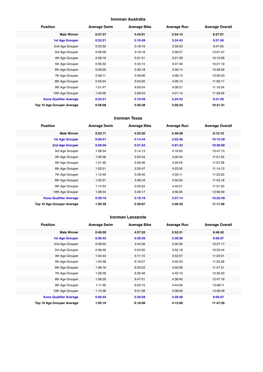#### **Ironman Australia**

| <b>Position</b>               | <b>Average Swim</b> | <b>Average Bike</b> | <b>Average Run</b> | <b>Average Overall</b> |
|-------------------------------|---------------------|---------------------|--------------------|------------------------|
| <b>Male Winner</b>            | 0:47:37             | 4:43:01             | 2:54:15            | 8:27:01                |
| <b>1st Age Grouper</b>        | 0:53:21             | 5:10:49             | 3:24:43            | 9:31:56                |
| 2nd Age Grouper               | 0:53:30             | 5:18:19             | 3:30:53            | 9:47:00                |
| 3rd Age Grouper               | 0:58:09             | 5:19:18             | 3:39:57            | 10:01:47               |
| 4th Age Grouper               | 0:58:16             | 5:31:31             | 3:21:39            | 10:10:28               |
| 5th Age Grouper               | 0:56:32             | 5:33:10             | 3:47:49            | 10:21:19               |
| 6th Age Grouper               | 0:59:00             | 5:39:18             | 3:56:14            | 10:39:56               |
| 7th Age Grouper               | 0:58:11             | 5:39:06             | 4:08:13            | 10:50:53               |
| 8th Age Grouper               | 0:59:34             | 5:55:00             | 4:06:13            | 11:06:17               |
| 9th Age Grouper               | 1:01:47             | 6:00:54             | 4:08:31            | 11:16:34               |
| 10th Age Grouper              | 1:03:00             | 5:58:53             | 4:21:14            | 11:28:59               |
| <b>Kona Qualifier Average</b> | 0:53:21             | 5:10:49             | 3:24:43            | 9:31:56                |
| Top 10 Age Grouper Average    | 0:58:08             | 5:36:38             | 3:50:33            | 10:31:31               |

#### **Ironman Texas**

| <b>Position</b>               | <b>Average Swim</b> | <b>Average Bike</b> | <b>Average Run</b> | <b>Average Overall</b> |
|-------------------------------|---------------------|---------------------|--------------------|------------------------|
| <b>Male Winner</b>            | 0:52:11             | 4:25:50             | 2:49:28            | 8:12:10                |
| <b>1st Age Grouper</b>        | 0:59:41             | 5:14:44             | 3:52:46            | 10:15:39               |
| 2nd Age Grouper               | 0:58:56             | 5:21:54             | 4:01:43            | 10:30:00               |
| 3rd Age Grouper               | 1:08:34             | 5:14:13             | 4:16:02            | 10:47:13               |
| 4th Age Grouper               | 1:05:56             | 5:25:44             | 4:20:44            | 11:01:25               |
| 5th Age Grouper               | 1:01:30             | 5:26:46             | 4:29:25            | 11:07:38               |
| 6th Age Grouper               | 1:02:51             | 5:35:47             | 4:23:55            | 11:14:13               |
| 7th Age Grouper               | 1:12:49             | 5:28:40             | 4:33:11            | 11:23:20               |
| 8th Age Grouper               | 1:02:31             | 5:38:16             | 4:50:50            | 11:42:18               |
| 9th Age Grouper               | 1:14:54             | 5:45:52             | 4:40:21            | 11:51:50               |
| 10th Age Grouper              | 1:08:34             | 5:49:17             | 4:56:25            | 12:06:09               |
| <b>Kona Qualifier Average</b> | 0:59:18             | 5:18:19             | 3:57:14            | 10:22:49               |
| Top 10 Age Grouper Average    | 1:05:38             | 5:30:07             | 4:26:32            | 11:11:58               |

#### **Ironman Lanzarote**

| <b>Position</b>               | <b>Average Swim</b> | <b>Average Bike</b> | <b>Average Run</b> | <b>Average Overall</b> |
|-------------------------------|---------------------|---------------------|--------------------|------------------------|
| <b>Male Winner</b>            | 0:49:28             | 4:57:52             | 2:53:31            | 8:46:42                |
| <b>1st Age Grouper</b>        | 0:56:45             | 5:30:59             | 3:20:26            | 9:56:07                |
| 2nd Age Grouper               | 0:58:50             | 5:44:36             | 3:35:39            | 10:27:17               |
| 3rd Age Grouper               | 0:58:46             | 5:54:20             | 3:52:18            | 10:53:44               |
| 4th Age Grouper               | 1:04:44             | 6:11:15             | 3:53:57            | 11:20:01               |
| 5th Age Grouper               | 1:04:38             | 6:16:27             | 4:02:43            | 11:35:28               |
| 6th Age Grouper               | 1:06:18             | 6:25:03             | 4:03:36            | 11:47:21               |
| 7th Age Grouper               | 1:08:38             | 6:26:46             | 4:42:10            | 12:30:20               |
| 8th Age Grouper               | 1:08:29             | 6:47:01             | 4:36:45            | 12:47:16               |
| 9th Age Grouper               | 1:11:56             | 6:53:15             | 4:44:26            | 13:08:11               |
| 10th Age Grouper              | 1:13:38             | 6:51:38             | 5:08:58            | 13:28:39               |
| <b>Kona Qualifier Average</b> | 0:56:45             | 5:30:59             | 3:20:26            | 9:56:07                |
| Top 10 Age Grouper Average    | 1:05:16             | 6:18:08             | 4:12:06            | 11:47:26               |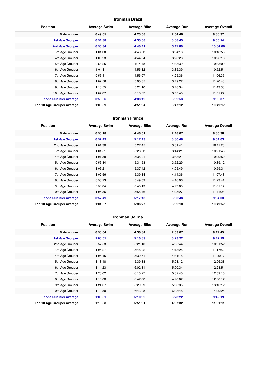## **Ironman Brazil**

| <b>Position</b>               | <b>Average Swim</b> | <b>Average Bike</b> | <b>Average Run</b> | <b>Average Overall</b> |
|-------------------------------|---------------------|---------------------|--------------------|------------------------|
| <b>Male Winner</b>            | 0:49:05             | 4:25:58             | 2:54:46            | 8:36:37                |
| <b>1st Age Grouper</b>        | 0:54:38             | 4:35:58             | 3:08:45            | 9:55:14                |
| 2nd Age Grouper               | 0:55:34             | 4:40:41             | 3:11:00            | 10:04:00               |
| 3rd Age Grouper               | 1:01:30             | 4:43:53             | 3:54:16            | 10:18:58               |
| 4th Age Grouper               | 1:00:23             | 4:44:54             | 3:20:26            | 10:26:16               |
| 5th Age Grouper               | 0:58:25             | 4:14:48             | 4:38:39            | 10:33:09               |
| 6th Age Grouper               | 1:01:11             | 4:55:12             | 3:35:39            | 10:52:51               |
| 7th Age Grouper               | 0:56:41             | 4:55:07             | 4:25:36            | 11:06:35               |
| 8th Age Grouper               | 1:02:56             | 5:05:35             | 3:49:22            | 11:20:48               |
| 9th Age Grouper               | 1:10:55             | 5:21:10             | 3:48:34            | 11:43:33               |
| 10th Age Grouper              | 1:07:37             | 5:18:22             | 3:59:45            | 11:51:27               |
| <b>Kona Qualifier Average</b> | 0:55:06             | 4:38:19             | 3:09:53            | 9:59:37                |
| Top 10 Age Grouper Average    | 1:00:59             | 4:51:34             | 3:47:12            | 10:49:17               |

#### **Ironman France**

| <b>Position</b>               | <b>Average Swim</b> | <b>Average Bike</b> | <b>Average Run</b> | <b>Average Overall</b> |
|-------------------------------|---------------------|---------------------|--------------------|------------------------|
| <b>Male Winner</b>            | 0:50:18             | 4:46:51             | 2:48:07            | 8:30:38                |
| <b>1st Age Grouper</b>        | 0:57:49             | 5:17:13             | 3:30:48            | 9:54:03                |
| 2nd Age Grouper               | 1:01:30             | 5:27:45             | 3:31:41            | 10:11:28               |
| 3rd Age Grouper               | 1:01:51             | 5:26:23             | 3:44:21            | 10:21:45               |
| 4th Age Grouper               | 1:01:38             | 5:35:21             | 3:43:21            | 10:29:50               |
| 5th Age Grouper               | 0:56:34             | 5:31:53             | 3:52:29            | 10:39:12               |
| 6th Age Grouper               | 1:06:21             | 5:37:42             | 4:05:49            | 10:59:31               |
| 7th Age Grouper               | 1:02:56             | 5:39:14             | 4:14:36            | 11:07:43               |
| 8th Age Grouper               | 0:58:23             | 5:49:59             | 4:16:06            | 11:23:41               |
| 9th Age Grouper               | 0:58:34             | 5:43:19             | 4:27:05            | 11:31:14               |
| 10th Age Grouper              | 1:05:36             | 5:55:46             | 4:25:27            | 11:41:04               |
| <b>Kona Qualifier Average</b> | 0:57:49             | 5:17:13             | 3:30:48            | 9:54:03                |
| Top 10 Age Grouper Average    | 1:01:07             | 5:36:27             | 3:59:10            | 10:49:57               |

#### **Ironman Cairns**

| <b>Position</b>               | <b>Average Swim</b> | <b>Average Bike</b> | <b>Average Run</b> | <b>Average Overall</b> |
|-------------------------------|---------------------|---------------------|--------------------|------------------------|
| <b>Male Winner</b>            | 0:50:04             | 4:30:34             | 2:53:07            | 8:17:45                |
| <b>1st Age Grouper</b>        | 1:00:51             | 5:10:39             | 3:23:22            | 9:42:19                |
| 2nd Age Grouper               | 0:57:53             | 5:21:10             | 4:05:44            | 10:31:52               |
| 3rd Age Grouper               | 1:05:27             | 5:48:22             | 4:13:25            | 11:17:52               |
| 4th Age Grouper               | 1:06:15             | 5:32:51             | 4:41:15            | 11:29:17               |
| 5th Age Grouper               | 1:13:18             | 5:39:38             | 5:03:12            | 12:06:38               |
| 6th Age Grouper               | 1:14:23             | 6:02:31             | 5:00:34            | 12:28:51               |
| 7th Age Grouper               | 1:28:02             | 6:15:27             | 5:02:45            | 12:59:15               |
| 8th Age Grouper               | 1:10:08             | 6:47:33             | 4:28:02            | 12:38:17               |
| 9th Age Grouper               | 1:24:07             | 6:29:29             | 5:00:35            | 13:10:12               |
| 10th Age Grouper              | 1:19:50             | 6:43:08             | 6:08:48            | 14:29:25               |
| <b>Kona Qualifier Average</b> | 1:00:51             | 5:10:39             | 3:23:22            | 9:42:19                |
| Top 10 Age Grouper Average    | 1:10:58             | 5:51:51             | 4:37:32            | 11:51:11               |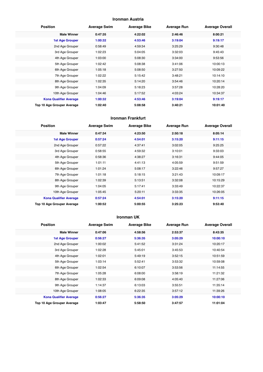## **Ironman Austria**

| <b>Position</b>               | <b>Average Swim</b> | <b>Average Bike</b> | <b>Average Run</b> | <b>Average Overall</b> |
|-------------------------------|---------------------|---------------------|--------------------|------------------------|
| <b>Male Winner</b>            | 0:47:35             | 4:22:02             | 2:46:46            | 8:00:21                |
| <b>1st Age Grouper</b>        | 1:00:32             | 4:53:46             | 3:19:04            | 9:19:17                |
| 2nd Age Grouper               | 0:58:49             | 4:59:34             | 3:25:29            | 9:30:48                |
| 3rd Age Grouper               | 1:02:23             | 5:04:05             | 3:32:03            | 9:45:43                |
| 4th Age Grouper               | 1:03:00             | 5:08:30             | 3:34:00            | 9:53:56                |
| 5th Age Grouper               | 1:02:42             | 5:08:38             | 3:41:06            | 10:00:13               |
| 6th Age Grouper               | 1:05:18             | 5:08:50             | 3:27:50            | 10:09:22               |
| 7th Age Grouper               | 1:02:22             | 5:15:42             | 3:48:21            | 10:14:10               |
| 8th Age Grouper               | 1:02:35             | 5:14:20             | 3:54:46            | 10:20:14               |
| 9th Age Grouper               | 1:04:09             | 5:18:23             | 3:57:28            | 10:28:20               |
| 10th Age Grouper              | 1:04:46             | 5:17:52             | 4:03:24            | 10:34:37               |
| <b>Kona Qualifier Average</b> | 1:00:32             | 4:53:46             | 3:19:04            | 9:19:17                |
| Top 10 Age Grouper Average    | 1:02:40             | 5:08:58             | 3:40:21            | 10:01:40               |

#### **Ironman Frankfurt**

| <b>Position</b>               | <b>Average Swim</b> | <b>Average Bike</b> | <b>Average Run</b> | <b>Average Overall</b> |
|-------------------------------|---------------------|---------------------|--------------------|------------------------|
| <b>Male Winner</b>            | 0:47:34             | 4:23:50             | 2:50:18            | 8:05:14                |
| <b>1st Age Grouper</b>        | 0:57:24             | 4:54:01             | 3:15:20            | 9:11:15                |
| 2nd Age Grouper               | 0:57:22             | 4:37:41             | 3:02:05            | 9:25:25                |
| 3rd Age Grouper               | 0:58:55             | 4:59:32             | 3:10:01            | 9:33:03                |
| 4th Age Grouper               | 0:58:36             | 4:38:27             | 3:16:31            | 9:44:05                |
| 5th Age Grouper               | 1:01:11             | 4:41:13             | 4:05:59            | 9:51:59                |
| 6th Age Grouper               | 1:01:24             | 5:08:17             | 3:22:46            | 9:57:27                |
| 7th Age Grouper               | 1:01:18             | 5:18:15             | 3:21:43            | 10:09:17               |
| 8th Age Grouper               | 1:02:39             | 5:13:51             | 3:32:08            | 10:15:29               |
| 9th Age Grouper               | 1:04:05             | 5:17:41             | 3:33:49            | 10:22:37               |
| 10th Age Grouper              | 1:05:45             | 5:20:11             | 3:33:35            | 10:26:05               |
| <b>Kona Qualifier Average</b> | 0:57:24             | 4:54:01             | 3:15:20            | 9:11:15                |
| Top 10 Age Grouper Average    | 1:00:52             | 5:00:55             | 3:25:23            | 9:53:40                |

#### **Ironman UK**

| <b>Position</b>               | <b>Average Swim</b> | <b>Average Bike</b> | <b>Average Run</b> | <b>Average Overall</b> |
|-------------------------------|---------------------|---------------------|--------------------|------------------------|
| <b>Male Winner</b>            | 0:47:06             | 4:58:56             | 2:53:37            | 8:43:35                |
| <b>1st Age Grouper</b>        | 0:56:27             | 5:36:35             | 3:05:29            | 10:00:10               |
| 2nd Age Grouper               | 1:00:02             | 5:41:52             | 3:31:24            | 10:20:17               |
| 3rd Age Grouper               | 1:02:28             | 5:45:01             | 3:45:53            | 10:40:54               |
| 4th Age Grouper               | 1:02:01             | 5:49:19             | 3:52:15            | 10:51:59               |
| 5th Age Grouper               | 1:03:14             | 5:52:41             | 3:53:32            | 10:59:08               |
| 6th Age Grouper               | 1:02:54             | 6:10:07             | 3:53:56            | 11:14:55               |
| 7th Age Grouper               | 1:05:28             | 6:08:00             | 3:58:19            | 11:21:32               |
| 8th Age Grouper               | 1:02:33             | 6:09:08             | 4:05:40            | 11:27:06               |
| 9th Age Grouper               | 1:14:37             | 6:13:03             | 3:55:51            | 11:35:14               |
| 10th Age Grouper              | 1:08:05             | 6:22:35             | 3:57:12            | 11:39:26               |
| <b>Kona Qualifier Average</b> | 0:56:27             | 5:36:35             | 3:05:29            | 10:00:10               |
| Top 10 Age Grouper Average    | 1:03:47             | 5:58:50             | 3:47:57            | 11:01:04               |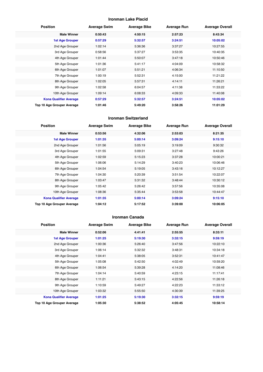## **Ironman Lake Placid**

| <b>Position</b>               | <b>Average Swim</b> | <b>Average Bike</b> | <b>Average Run</b> | <b>Average Overall</b> |
|-------------------------------|---------------------|---------------------|--------------------|------------------------|
| <b>Male Winner</b>            | 0:50:43             | 4:50:15             | 2:57:23            | 8:43:34                |
| <b>1st Age Grouper</b>        | 0:57:29             | 5:32:57             | 3:24:51            | 10:05:02               |
| 2nd Age Grouper               | 1:02:14             | 5:36:36             | 3:37:27            | 10:27:55               |
| 3rd Age Grouper               | 0:58:56             | 5:37:27             | 3:53:35            | 10:40:35               |
| 4th Age Grouper               | 1:01:44             | 5:50:07             | 3:47:18            | 10:50:46               |
| 5th Age Grouper               | 1:01:36             | 5:41:17             | 4:04:09            | 10:58:32               |
| 6th Age Grouper               | 1:01:07             | 5:51:21             | 4:06:34            | 11:10:50               |
| 7th Age Grouper               | 1:00:19             | 5:52:31             | 4:15:00            | 11:21:22               |
| 8th Age Grouper               | 1:02:05             | 5:57:31             | 4:14:11            | 11:26:21               |
| 9th Age Grouper               | 1:02:58             | 6:04:57             | 4:11:38            | 11:33:22               |
| 10th Age Grouper              | 1:09:14             | 6:08:33             | 4:09:33            | 11:40:08               |
| <b>Kona Qualifier Average</b> | 0:57:29             | 5:32:57             | 3:24:51            | 10:05:02               |
| Top 10 Age Grouper Average    | 1:01:46             | 5:49:20             | 3:58:26            | 11:01:29               |

#### **Ironman Switzerland**

| <b>Position</b>               | <b>Average Swim</b> | <b>Average Bike</b> | <b>Average Run</b> | <b>Average Overall</b> |
|-------------------------------|---------------------|---------------------|--------------------|------------------------|
| <b>Male Winner</b>            | 0:53:56             | 4:32:06             | 2:53:03            | 8:21:35                |
| <b>1st Age Grouper</b>        | 1:01:35             | 5:00:14             | 3:09:24            | 9:15:10                |
| 2nd Age Grouper               | 1:01:56             | 5:05:19             | 3:19:09            | 9:30:32                |
| 3rd Age Grouper               | 1:01:55             | 5:09:31             | 3:27:48            | 9:43:26                |
| 4th Age Grouper               | 1:02:59             | 5:15:23             | 3:37:28            | 10:00:21               |
| 5th Age Grouper               | 1:06:06             | 5:14:29             | 3:40:23            | 10:06:46               |
| 6th Age Grouper               | 1:04:54             | 5:19:05             | 3:43:16            | 10:12:27               |
| 7th Age Grouper               | 1:04:30             | 5:20:39             | 3:51:54            | 10:22:07               |
| 8th Age Grouper               | 1:03:47             | 5:31:32             | 3:48:44            | 10:30:12               |
| 9th Age Grouper               | 1:05:42             | 5:26:42             | 3:57:56            | 10:35:08               |
| 10th Age Grouper              | 1:08:36             | 5:35:44             | 3:53:58            | 10:44:47               |
| <b>Kona Qualifier Average</b> | 1:01:35             | 5:00:14             | 3:09:24            | 9:15:10                |
| Top 10 Age Grouper Average    | 1:04:12             | 5:17:52             | 3:39:00            | 10:06:05               |

#### **Ironman Canada**

| <b>Position</b>               | <b>Average Swim</b> | <b>Average Bike</b> | <b>Average Run</b> | <b>Average Overall</b> |
|-------------------------------|---------------------|---------------------|--------------------|------------------------|
| <b>Male Winner</b>            | 0:52:06             | 4:41:41             | 2:55:55            | 8:33:11                |
| <b>1st Age Grouper</b>        | 1:01:25             | 5:19:30             | 3:32:15            | 9:59:19                |
| 2nd Age Grouper               | 1:00:36             | 5:26:40             | 3:47:56            | 10:22:10               |
| 3rd Age Grouper               | 1:06:14             | 5:32:32             | 3:48:31            | 10:34:18               |
| 4th Age Grouper               | 1:04:41             | 5:38:05             | 3:52:31            | 10:41:47               |
| 5th Age Grouper               | 1:05:08             | 5:42:50             | 4:02:49            | 10:59:20               |
| 6th Age Grouper               | 1:06:54             | 5:39:28             | 4:14:20            | 11:08:46               |
| 7th Age Grouper               | 1:04:14             | 5:40:59             | 4:23:15            | 11:17:41               |
| 8th Age Grouper               | 1:11:21             | 5:43:15             | 4:22:56            | 11:26:18               |
| 9th Age Grouper               | 1:10:59             | 5:49:27             | 4:22:23            | 11:33:12               |
| 10th Age Grouper              | 1:03:32             | 5:55:50             | 4:30:39            | 11:39:25               |
| <b>Kona Qualifier Average</b> | 1:01:25             | 5:19:30             | 3:32:15            | 9:59:19                |
| Top 10 Age Grouper Average    | 1:05:30             | 5:38:52             | 4:05:45            | 10:58:14               |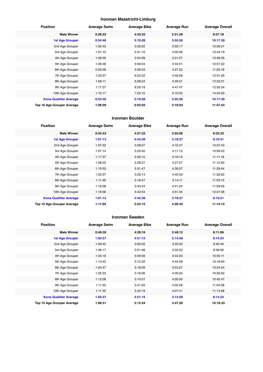## **Ironman Maastricht-Limburg**

| <b>Position</b>               | <b>Average Swim</b> | <b>Average Bike</b> | <b>Average Run</b> | <b>Average Overall</b> |
|-------------------------------|---------------------|---------------------|--------------------|------------------------|
| <b>Male Winner</b>            | 0:46:22             | 4:43:33             | 2:51:59            | 8:27:18                |
| <b>1st Age Grouper</b>        | 0:54:46             | 5:19:28             | 3:55:56            | 10:17:30               |
| 2nd Age Grouper               | 1:02:43             | 5:26:22             | 3:50:17            | 10:26:21               |
| 3rd Age Grouper               | 1:01:10             | 5:31:10             | 4:02:06            | 10:44:19               |
| 4th Age Grouper               | 1:09:05             | 5:54:08             | 3:31:57            | 10:49:35               |
| 5th Age Grouper               | 1:08:48             | 5:56:04             | 3:44:51            | 10:57:22               |
| 6th Age Grouper               | 0:59:56             | 5:39:53             | 4:27:52            | 11:20:18               |
| 7th Age Grouper               | 1:03:07             | 6:22:32             | 4:49:26            | 12:31:09               |
| 8th Age Grouper               | 1:09:11             | 6:28:34             | 4:39:31            | 12:33:01               |
| 9th Age Grouper               | 1:17:27             | 6:29:18             | 4:47:47            | 12:55:34               |
| 10th Age Grouper              | 1:15:17             | 7:23:10             | 5:10:52            | 14:24:00               |
| <b>Kona Qualifier Average</b> | 0:54:46             | 5:19:28             | 3:55:56            | 10:17:30               |
| Top 10 Age Grouper Average    | 1:06:09             | 6:03:03             | 4:18:03            | 11:41:54               |

#### **Ironman Boulder**

| <b>Position</b>                   | <b>Average Swim</b> | <b>Average Bike</b> | <b>Average Run</b> | <b>Average Overall</b> |
|-----------------------------------|---------------------|---------------------|--------------------|------------------------|
| <b>Male Winner</b>                | 0:55:43             | 4:27:22             | 3:03:06            | 8:32:53                |
| <b>1st Age Grouper</b>            | 1:01:13             | 4:43:39             | 3:18:27            | 9:10:51                |
| 2nd Age Grouper                   | 1:07:52             | 5:08:07             | 4:10:47            | 10:37:43               |
| 3rd Age Grouper                   | 1:07:14             | 5:29:40             | 4:11:13            | 10:59:22               |
| 4th Age Grouper                   | 1:17:37             | 5:26:10             | 4:16:15            | 11:11:18               |
| 5th Age Grouper                   | 1:08:20             | 5:26:27             | 4:27:07            | 11:12:50               |
| 6th Age Grouper                   | 1:15:53             | 5:31:47             | 4:30:07            | 11:29:44               |
| 7th Age Grouper                   | 1:03:37             | 5:29:14             | 4:45:59            | 11:39:00               |
| 8th Age Grouper                   | 1:11:46             | 5:18:47             | 5:14:11            | 11:55:15               |
| 9th Age Grouper                   | 1:18:08             | 5:45:44             | 4:41:24            | 11:58:59               |
| 10th Age Grouper                  | 1:18:58             | 5:42:54             | 4:51:34            | 12:07:36               |
| <b>Kona Qualifier Average</b>     | 1:01:13             | 4:43:39             | 3:18:27            | 9:10:51                |
| <b>Top 10 Age Grouper Average</b> | 1:11:04             | 5:24:15             | 4:26:42            | 11:14:15               |

#### **Ironman Sweden**

| <b>Position</b>               | <b>Average Swim</b> | <b>Average Bike</b> | <b>Average Run</b> | <b>Average Overall</b> |
|-------------------------------|---------------------|---------------------|--------------------|------------------------|
| <b>Male Winner</b>            | 0:49:39             | 4:29:16             | 2:49:12            | 8:11:09                |
| <b>1st Age Grouper</b>        | 1:03:37             | 4:51:15             | 3:14:59            | 9:14:24                |
| 2nd Age Grouper               | 1:09:42             | 5:00:02             | 3:25:32            | 9:40:49                |
| 3rd Age Grouper               | 1:08:17             | 5:01:48             | 3:33:22            | 9:48:58                |
| 4th Age Grouper               | 1:04:18             | 5:09:56             | 3:44:20            | 10:05:11               |
| 5th Age Grouper               | 1:13:42             | 5:12:32             | 3:44:38            | 10:18:00               |
| 6th Age Grouper               | 1:04:47             | 5:18:09             | 3:53:57            | 10:24:04               |
| 7th Age Grouper               | 1:05:33             | 5:16:06             | 4:00:55            | 10:30:02               |
| 8th Age Grouper               | 1:12:08             | 5:19:57             | 4:05:00            | 10:45:47               |
| 9th Age Grouper               | 1:11:32             | 5:41:55             | 4:02:56            | 11:04:38               |
| 10th Age Grouper              | 1:11:35             | 5:42:18             | 4:07:41            | 11:13:38               |
| <b>Kona Qualifier Average</b> | 1:03:37             | 4:51:15             | 3:14:59            | 9:14:24                |
| Top 10 Age Grouper Average    | 1:08:31             | 5:15:24             | 3:47:20            | 10:18:33               |